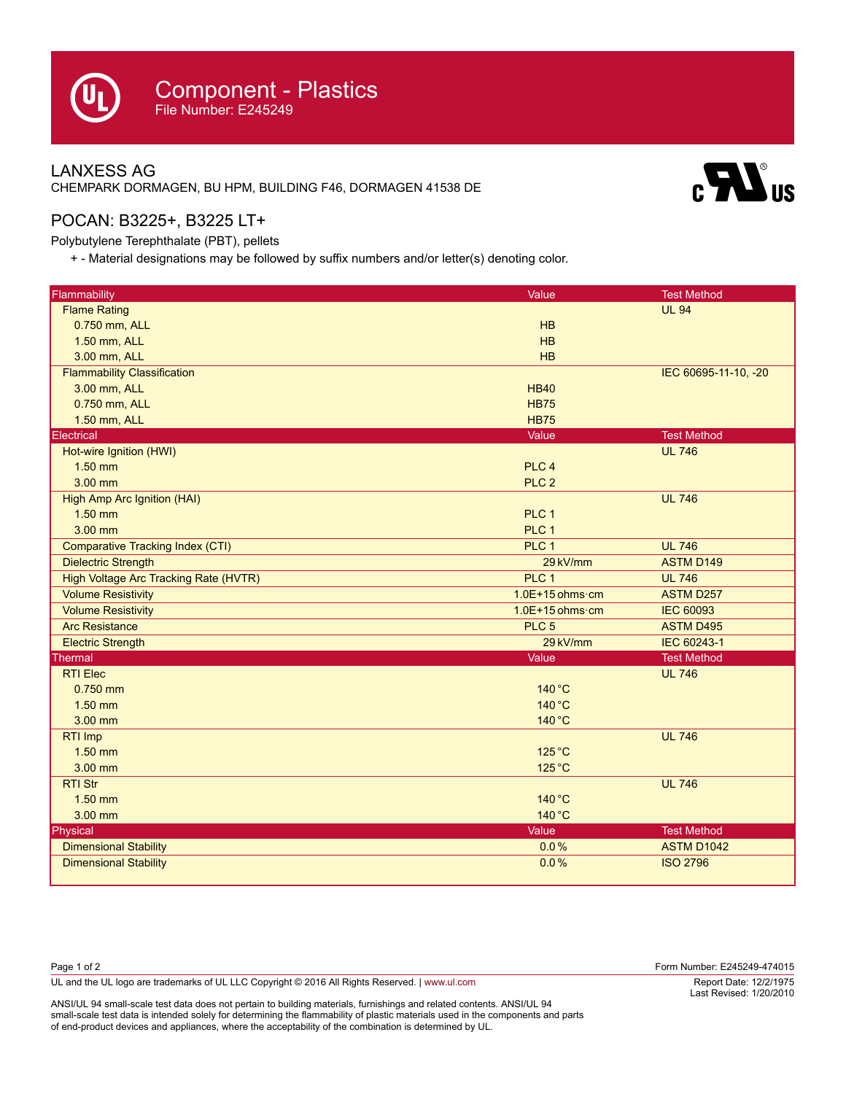## LANXESS AG CHEMPARK DORMAGEN, BU HPM, BUILDING F46, DORMAGEN 41538 DE



## POCAN: B3225+, B3225 LT+

Polybutylene Terephthalate (PBT), pellets

+ - Material designations may be followed by suffix numbers and/or letter(s) denoting color.

| Flammability                            | Value                     | <b>Test Method</b>   |
|-----------------------------------------|---------------------------|----------------------|
| <b>Flame Rating</b>                     |                           | <b>UL 94</b>         |
| 0.750 mm, ALL                           | HB                        |                      |
| 1.50 mm, ALL                            | HB                        |                      |
| 3.00 mm, ALL                            | HB                        |                      |
| <b>Flammability Classification</b>      |                           | IEC 60695-11-10, -20 |
| 3.00 mm, ALL                            | <b>HB40</b>               |                      |
| 0.750 mm, ALL                           | <b>HB75</b>               |                      |
| 1.50 mm, ALL                            | <b>HB75</b>               |                      |
| <b>Electrical</b>                       | Value                     | <b>Test Method</b>   |
| Hot-wire Ignition (HWI)                 |                           | <b>UL 746</b>        |
| $1.50$ mm                               | PLC <sub>4</sub>          |                      |
| 3.00 mm                                 | PLC <sub>2</sub>          |                      |
| High Amp Arc Ignition (HAI)             |                           | <b>UL 746</b>        |
| $1.50$ mm                               | PLC <sub>1</sub>          |                      |
| 3.00 mm                                 | PLC 1                     |                      |
| <b>Comparative Tracking Index (CTI)</b> | PLC 1                     | <b>UL 746</b>        |
| <b>Dielectric Strength</b>              | 29 kV/mm                  | <b>ASTM D149</b>     |
| High Voltage Arc Tracking Rate (HVTR)   | PLC <sub>1</sub>          | <b>UL 746</b>        |
| <b>Volume Resistivity</b>               | $1.0E+15$ ohms $\cdot$ cm | <b>ASTM D257</b>     |
| <b>Volume Resistivity</b>               | $1.0E+15$ ohms $\cdot$ cm | <b>IEC 60093</b>     |
| <b>Arc Resistance</b>                   | PLC <sub>5</sub>          | <b>ASTM D495</b>     |
| <b>Electric Strength</b>                | 29 kV/mm                  | IEC 60243-1          |
| Thermal                                 | Value                     | <b>Test Method</b>   |
| <b>RTI Elec</b>                         |                           | <b>UL 746</b>        |
| $0.750$ mm                              | 140 °C                    |                      |
| 1.50 mm                                 | 140 °C                    |                      |
| 3.00 mm                                 | 140 °C                    |                      |
| RTI Imp                                 |                           | <b>UL 746</b>        |
| $1.50$ mm                               | 125 °C                    |                      |
| 3.00 mm                                 | 125 °C                    |                      |
| <b>RTI Str</b>                          |                           | <b>UL 746</b>        |
| $1.50$ mm                               | 140 °C                    |                      |
| 3.00 mm                                 | 140 °C                    |                      |
| Physical                                | Value                     | <b>Test Method</b>   |
| <b>Dimensional Stability</b>            | 0.0%                      | <b>ASTM D1042</b>    |
| <b>Dimensional Stability</b>            | 0.0%                      | <b>ISO 2796</b>      |

| Page 1 of 2                                                                                    | Form Number: E245249-474015 |
|------------------------------------------------------------------------------------------------|-----------------------------|
| UL and the UL logo are trademarks of UL LLC Copyright © 2016 All Rights Reserved.   www.ul.com | Report Date: 12/2/1975      |
|                                                                                                | Last Revised: 1/20/2010     |

ANSI/UL 94 small-scale test data does not pertain to building materials, furnishings and related contents. ANSI/UL 94 small-scale test data is intended solely for determining the flammability of plastic materials used in the components and parts of end-product devices and appliances, where the acceptability of the combination is determined by UL.